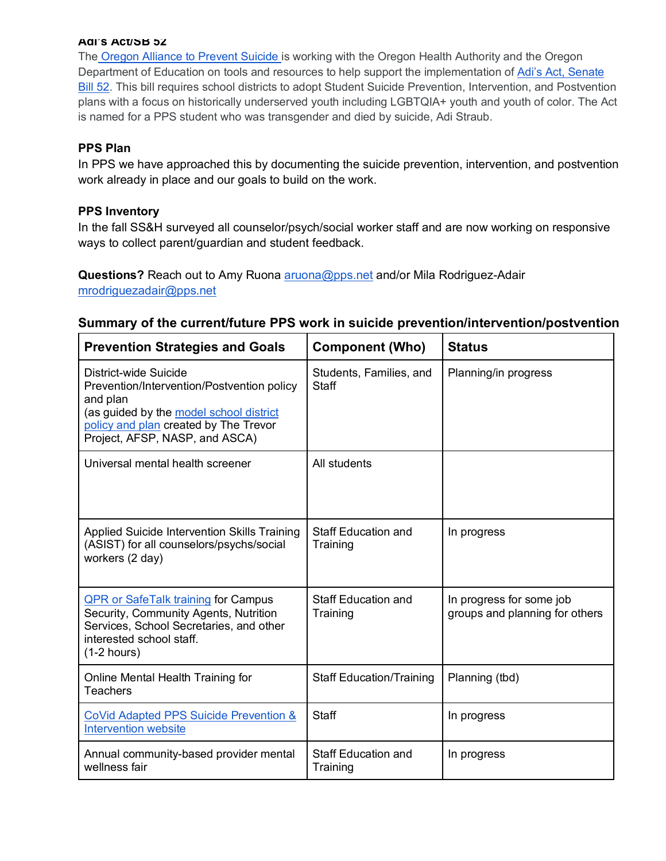#### **Adi's Act/SB 52**

The Oregon Alliance to Prevent Suicide is working with the Oregon Health Authority and the Oregon Department of Education on tools and resources to help support the implementation of Adi's Act, Senate Bill 52. This bill requires school districts to adopt Student Suicide Prevention, Intervention, and Postvention plans with a focus on historically underserved youth including LGBTQIA+ youth and youth of color. The Act is named for a PPS student who was transgender and died by suicide, Adi Straub.

### **PPS Plan**

In PPS we have approached this by documenting the suicide prevention, intervention, and postvention work already in place and our goals to build on the work.

### **PPS Inventory**

In the fall SS&H surveyed all counselor/psych/social worker staff and are now working on responsive ways to collect parent/guardian and student feedback.

**Questions?** Reach out to Amy Ruona aruona@pps.net and/or Mila Rodriguez-Adair mrodriguezadair@pps.net

## **Summary of the current/future PPS work in suicide prevention/intervention/postvention**

| <b>Prevention Strategies and Goals</b>                                                                                                                                                                | <b>Component (Who)</b>                  | <b>Status</b>                                              |
|-------------------------------------------------------------------------------------------------------------------------------------------------------------------------------------------------------|-----------------------------------------|------------------------------------------------------------|
| District-wide Suicide<br>Prevention/Intervention/Postvention policy<br>and plan<br>(as guided by the model school district<br>policy and plan created by The Trevor<br>Project, AFSP, NASP, and ASCA) | Students, Families, and<br><b>Staff</b> | Planning/in progress                                       |
| Universal mental health screener                                                                                                                                                                      | All students                            |                                                            |
| Applied Suicide Intervention Skills Training<br>(ASIST) for all counselors/psychs/social<br>workers (2 day)                                                                                           | <b>Staff Education and</b><br>Training  | In progress                                                |
| <b>QPR or SafeTalk training for Campus</b><br>Security, Community Agents, Nutrition<br>Services, School Secretaries, and other<br>interested school staff.<br>$(1-2$ hours)                           | <b>Staff Education and</b><br>Training  | In progress for some job<br>groups and planning for others |
| Online Mental Health Training for<br>Teachers                                                                                                                                                         | <b>Staff Education/Training</b>         | Planning (tbd)                                             |
| CoVid Adapted PPS Suicide Prevention &<br><b>Intervention website</b>                                                                                                                                 | <b>Staff</b>                            | In progress                                                |
| Annual community-based provider mental<br>wellness fair                                                                                                                                               | <b>Staff Education and</b><br>Training  | In progress                                                |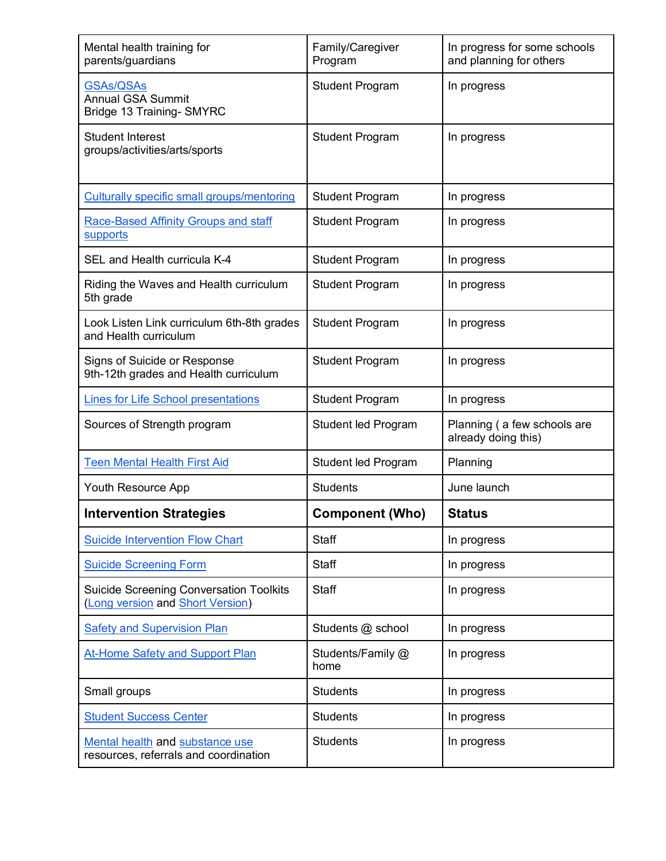| Mental health training for<br>parents/guardians                                    | Family/Caregiver<br>Program | In progress for some schools<br>and planning for others |
|------------------------------------------------------------------------------------|-----------------------------|---------------------------------------------------------|
| <b>GSAs/QSAs</b><br><b>Annual GSA Summit</b><br>Bridge 13 Training- SMYRC          | <b>Student Program</b>      | In progress                                             |
| <b>Student Interest</b><br>groups/activities/arts/sports                           | <b>Student Program</b>      | In progress                                             |
| <b>Culturally specific small groups/mentoring</b>                                  | <b>Student Program</b>      | In progress                                             |
| Race-Based Affinity Groups and staff<br>supports                                   | <b>Student Program</b>      | In progress                                             |
| SEL and Health curricula K-4                                                       | <b>Student Program</b>      | In progress                                             |
| Riding the Waves and Health curriculum<br>5th grade                                | <b>Student Program</b>      | In progress                                             |
| Look Listen Link curriculum 6th-8th grades<br>and Health curriculum                | <b>Student Program</b>      | In progress                                             |
| Signs of Suicide or Response<br>9th-12th grades and Health curriculum              | <b>Student Program</b>      | In progress                                             |
| <b>Lines for Life School presentations</b>                                         | <b>Student Program</b>      | In progress                                             |
| Sources of Strength program                                                        | Student led Program         | Planning (a few schools are<br>already doing this)      |
| <b>Teen Mental Health First Aid</b>                                                | Student led Program         | Planning                                                |
| Youth Resource App                                                                 | <b>Students</b>             | June launch                                             |
| <b>Intervention Strategies</b>                                                     | <b>Component (Who)</b>      | <b>Status</b>                                           |
| <b>Suicide Intervention Flow Chart</b>                                             | <b>Staff</b>                | In progress                                             |
| <b>Suicide Screening Form</b>                                                      | <b>Staff</b>                | In progress                                             |
| <b>Suicide Screening Conversation Toolkits</b><br>(Long version and Short Version) | <b>Staff</b>                | In progress                                             |
| <b>Safety and Supervision Plan</b>                                                 | Students @ school           | In progress                                             |
| At-Home Safety and Support Plan                                                    | Students/Family @<br>home   | In progress                                             |
| Small groups                                                                       | <b>Students</b>             | In progress                                             |
| <b>Student Success Center</b>                                                      | <b>Students</b>             | In progress                                             |
| Mental health and substance use<br>resources, referrals and coordination           | <b>Students</b>             | In progress                                             |